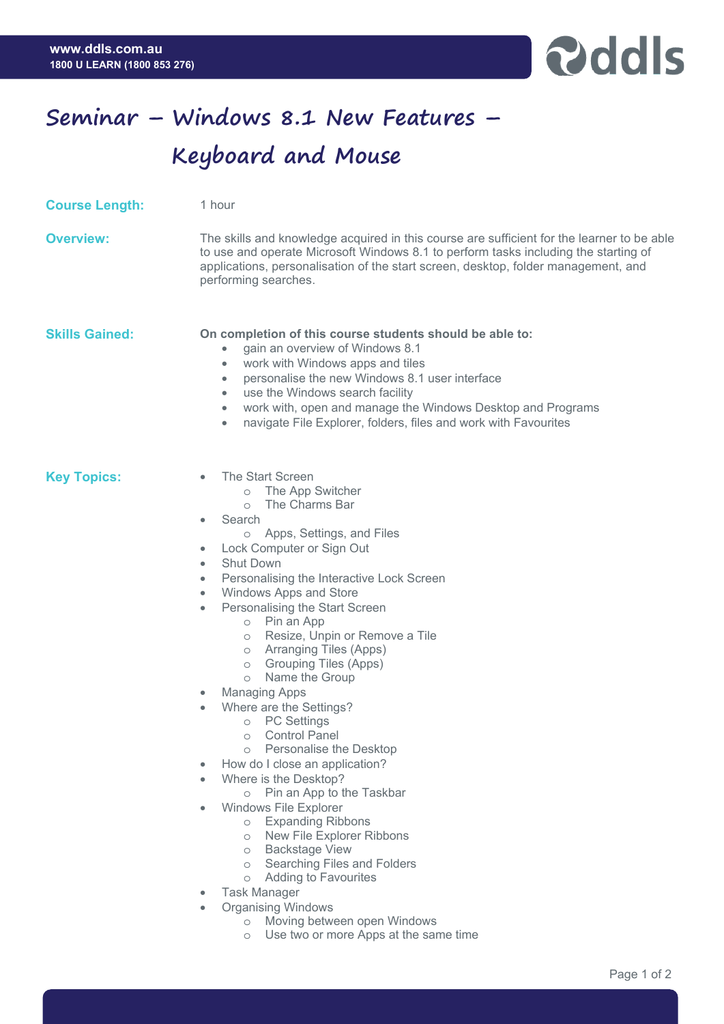

## **Seminar – Windows 8.1 New Features – Keyboard and Mouse**

| <b>Course Length:</b> | 1 hour                                                                                                                                                                                                                                                                                                                                                                                                                                                                                                                                                                                                                                                                                                                                                                                                                                                                                                                                                                                                                                                                                                                                       |
|-----------------------|----------------------------------------------------------------------------------------------------------------------------------------------------------------------------------------------------------------------------------------------------------------------------------------------------------------------------------------------------------------------------------------------------------------------------------------------------------------------------------------------------------------------------------------------------------------------------------------------------------------------------------------------------------------------------------------------------------------------------------------------------------------------------------------------------------------------------------------------------------------------------------------------------------------------------------------------------------------------------------------------------------------------------------------------------------------------------------------------------------------------------------------------|
| <b>Overview:</b>      | The skills and knowledge acquired in this course are sufficient for the learner to be able<br>to use and operate Microsoft Windows 8.1 to perform tasks including the starting of<br>applications, personalisation of the start screen, desktop, folder management, and<br>performing searches.                                                                                                                                                                                                                                                                                                                                                                                                                                                                                                                                                                                                                                                                                                                                                                                                                                              |
| <b>Skills Gained:</b> | On completion of this course students should be able to:<br>gain an overview of Windows 8.1<br>work with Windows apps and tiles<br>۰<br>personalise the new Windows 8.1 user interface<br>$\bullet$<br>use the Windows search facility<br>$\bullet$<br>work with, open and manage the Windows Desktop and Programs<br>$\bullet$<br>navigate File Explorer, folders, files and work with Favourites<br>۰                                                                                                                                                                                                                                                                                                                                                                                                                                                                                                                                                                                                                                                                                                                                      |
| <b>Key Topics:</b>    | The Start Screen<br>o The App Switcher<br>The Charms Bar<br>$\circ$<br>Search<br>٠<br>Apps, Settings, and Files<br>$\circ$<br>Lock Computer or Sign Out<br>۰<br><b>Shut Down</b><br>$\bullet$<br>Personalising the Interactive Lock Screen<br>$\bullet$<br>Windows Apps and Store<br>$\bullet$<br>Personalising the Start Screen<br>$\bullet$<br>o Pin an App<br>Resize, Unpin or Remove a Tile<br>$\circ$<br><b>Arranging Tiles (Apps)</b><br>$\circ$<br><b>Grouping Tiles (Apps)</b><br>$\circ$<br>Name the Group<br>$\circ$<br><b>Managing Apps</b><br>۰<br>Where are the Settings?<br>۰<br><b>PC Settings</b><br>$\bigcirc$<br><b>Control Panel</b><br>$\circ$<br>Personalise the Desktop<br>$\circ$<br>How do I close an application?<br>Where is the Desktop?<br>Pin an App to the Taskbar<br>$\circ$<br><b>Windows File Explorer</b><br><b>Expanding Ribbons</b><br>$\circ$<br>New File Explorer Ribbons<br>$\circ$<br><b>Backstage View</b><br>$\circ$<br>Searching Files and Folders<br>$\circ$<br><b>Adding to Favourites</b><br>$\circ$<br><b>Task Manager</b><br><b>Organising Windows</b><br>۰<br>o Moving between open Windows |

o Use two or more Apps at the same time